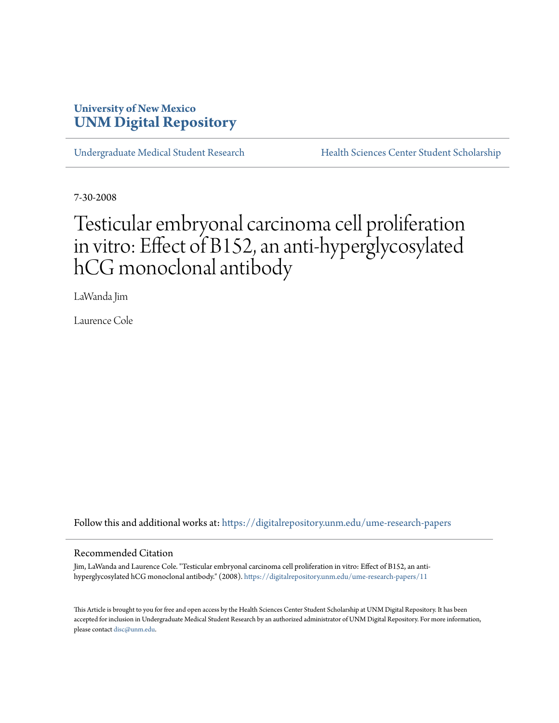# **University of New Mexico [UNM Digital Repository](https://digitalrepository.unm.edu?utm_source=digitalrepository.unm.edu%2Fume-research-papers%2F11&utm_medium=PDF&utm_campaign=PDFCoverPages)**

[Undergraduate Medical Student Research](https://digitalrepository.unm.edu/ume-research-papers?utm_source=digitalrepository.unm.edu%2Fume-research-papers%2F11&utm_medium=PDF&utm_campaign=PDFCoverPages) [Health Sciences Center Student Scholarship](https://digitalrepository.unm.edu/hsc-students?utm_source=digitalrepository.unm.edu%2Fume-research-papers%2F11&utm_medium=PDF&utm_campaign=PDFCoverPages)

7-30-2008

# Testicular embryonal carcinoma cell proliferation in vitro: Effect of B152, an anti-hyperglycosylated hCG monoclonal antibody

LaWanda Jim

Laurence Cole

Follow this and additional works at: [https://digitalrepository.unm.edu/ume-research-papers](https://digitalrepository.unm.edu/ume-research-papers?utm_source=digitalrepository.unm.edu%2Fume-research-papers%2F11&utm_medium=PDF&utm_campaign=PDFCoverPages)

#### Recommended Citation

Jim, LaWanda and Laurence Cole. "Testicular embryonal carcinoma cell proliferation in vitro: Effect of B152, an antihyperglycosylated hCG monoclonal antibody." (2008). [https://digitalrepository.unm.edu/ume-research-papers/11](https://digitalrepository.unm.edu/ume-research-papers/11?utm_source=digitalrepository.unm.edu%2Fume-research-papers%2F11&utm_medium=PDF&utm_campaign=PDFCoverPages)

This Article is brought to you for free and open access by the Health Sciences Center Student Scholarship at UNM Digital Repository. It has been accepted for inclusion in Undergraduate Medical Student Research by an authorized administrator of UNM Digital Repository. For more information, please contact [disc@unm.edu.](mailto:disc@unm.edu)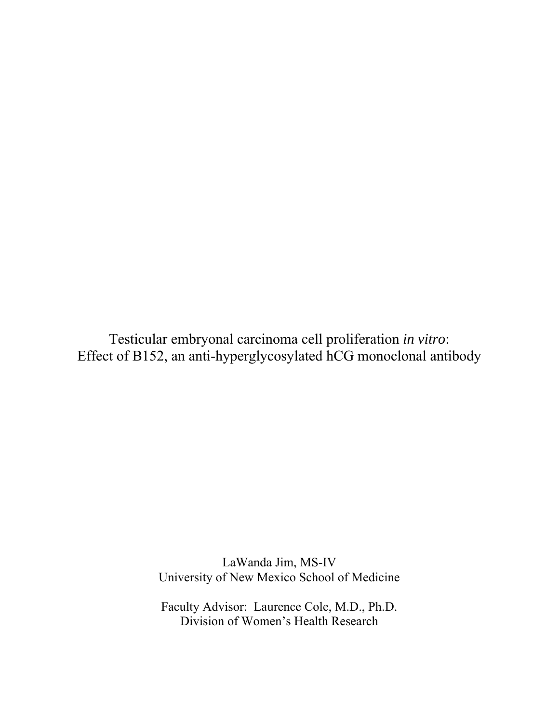Testicular embryonal carcinoma cell proliferation *in vitro*: Effect of B152, an anti-hyperglycosylated hCG monoclonal antibody

> LaWanda Jim, MS-IV University of New Mexico School of Medicine

Faculty Advisor: Laurence Cole, M.D., Ph.D. Division of Women's Health Research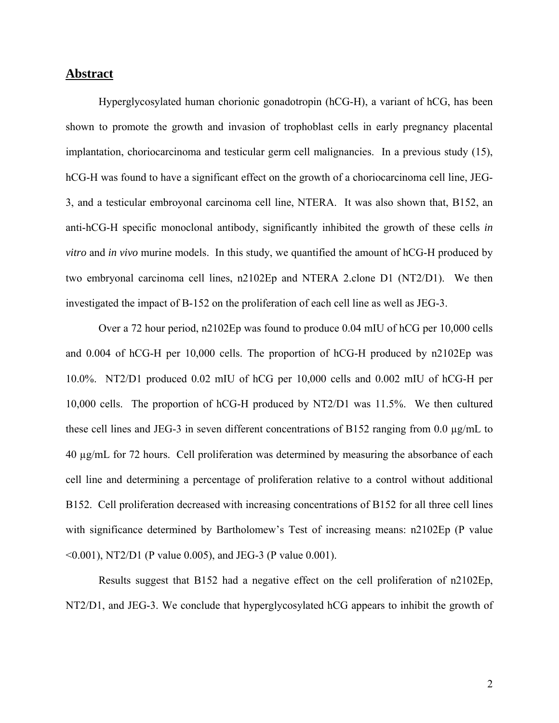### **Abstract**

Hyperglycosylated human chorionic gonadotropin (hCG-H), a variant of hCG, has been shown to promote the growth and invasion of trophoblast cells in early pregnancy placental implantation, choriocarcinoma and testicular germ cell malignancies. In a previous study (15), hCG-H was found to have a significant effect on the growth of a choriocarcinoma cell line, JEG-3, and a testicular embroyonal carcinoma cell line, NTERA. It was also shown that, B152, an anti-hCG-H specific monoclonal antibody, significantly inhibited the growth of these cells *in vitro* and *in vivo* murine models. In this study, we quantified the amount of hCG-H produced by two embryonal carcinoma cell lines, n2102Ep and NTERA 2.clone D1 (NT2/D1). We then investigated the impact of B-152 on the proliferation of each cell line as well as JEG-3.

Over a 72 hour period, n2102Ep was found to produce 0.04 mIU of hCG per 10,000 cells and 0.004 of hCG-H per 10,000 cells. The proportion of hCG-H produced by n2102Ep was 10.0%. NT2/D1 produced 0.02 mIU of hCG per 10,000 cells and 0.002 mIU of hCG-H per 10,000 cells. The proportion of hCG-H produced by NT2/D1 was 11.5%. We then cultured these cell lines and JEG-3 in seven different concentrations of B152 ranging from 0.0 µg/mL to 40 µg/mL for 72 hours. Cell proliferation was determined by measuring the absorbance of each cell line and determining a percentage of proliferation relative to a control without additional B152. Cell proliferation decreased with increasing concentrations of B152 for all three cell lines with significance determined by Bartholomew's Test of increasing means: n2102Ep (P value <0.001), NT2/D1 (P value 0.005), and JEG-3 (P value 0.001).

Results suggest that B152 had a negative effect on the cell proliferation of n2102Ep, NT2/D1, and JEG-3. We conclude that hyperglycosylated hCG appears to inhibit the growth of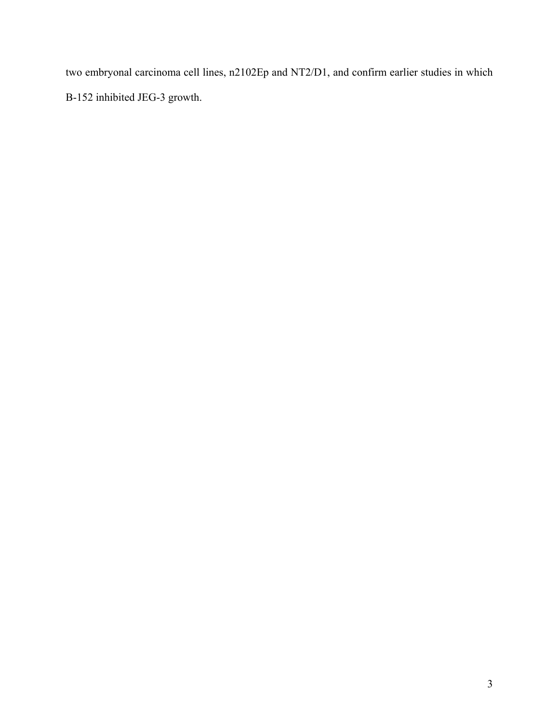two embryonal carcinoma cell lines, n2102Ep and NT2/D1, and confirm earlier studies in which B-152 inhibited JEG-3 growth.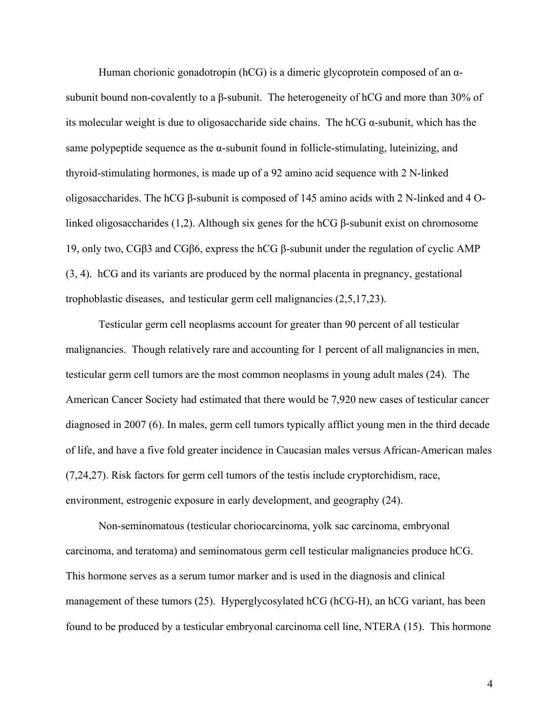Human chorionic gonadotropin (hCG) is a dimeric glycoprotein composed of an αsubunit bound non-covalently to a β-subunit. The heterogeneity of hCG and more than 30% of its molecular weight is due to oligosaccharide side chains. The hCG  $\alpha$ -subunit, which has the same polypeptide sequence as the  $\alpha$ -subunit found in follicle-stimulating, luteinizing, and thyroid-stimulating hormones, is made up of a 92 amino acid sequence with 2 N-linked oligosaccharides. The hCG β-subunit is composed of 145 amino acids with 2 N-linked and 4 Olinked oligosaccharides (1,2). Although six genes for the hCG β-subunit exist on chromosome 19, only two, CGβ3 and CGβ6, express the hCG β-subunit under the regulation of cyclic AMP (3, 4). hCG and its variants are produced by the normal placenta in pregnancy, gestational trophoblastic diseases, and testicular germ cell malignancies (2,5,17,23).

 Testicular germ cell neoplasms account for greater than 90 percent of all testicular malignancies. Though relatively rare and accounting for 1 percent of all malignancies in men, testicular germ cell tumors are the most common neoplasms in young adult males (24). The American Cancer Society had estimated that there would be 7,920 new cases of testicular cancer diagnosed in 2007 (6). In males, germ cell tumors typically afflict young men in the third decade of life, and have a five fold greater incidence in Caucasian males versus African-American males (7,24,27). Risk factors for germ cell tumors of the testis include cryptorchidism, race, environment, estrogenic exposure in early development, and geography (24).

 Non-seminomatous (testicular choriocarcinoma, yolk sac carcinoma, embryonal carcinoma, and teratoma) and seminomatous germ cell testicular malignancies produce hCG. This hormone serves as a serum tumor marker and is used in the diagnosis and clinical management of these tumors (25). Hyperglycosylated hCG (hCG-H), an hCG variant, has been found to be produced by a testicular embryonal carcinoma cell line, NTERA (15). This hormone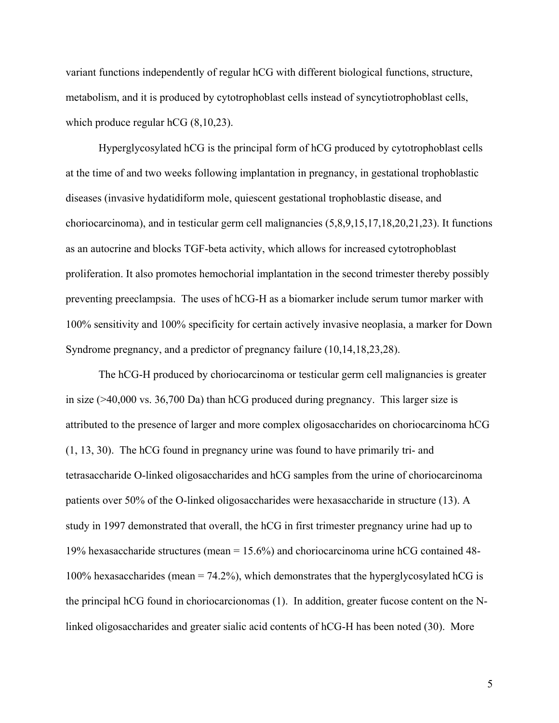variant functions independently of regular hCG with different biological functions, structure, metabolism, and it is produced by cytotrophoblast cells instead of syncytiotrophoblast cells, which produce regular hCG  $(8,10,23)$ .

Hyperglycosylated hCG is the principal form of hCG produced by cytotrophoblast cells at the time of and two weeks following implantation in pregnancy, in gestational trophoblastic diseases (invasive hydatidiform mole, quiescent gestational trophoblastic disease, and choriocarcinoma), and in testicular germ cell malignancies (5,8,9,15,17,18,20,21,23). It functions as an autocrine and blocks TGF-beta activity, which allows for increased cytotrophoblast proliferation. It also promotes hemochorial implantation in the second trimester thereby possibly preventing preeclampsia. The uses of hCG-H as a biomarker include serum tumor marker with 100% sensitivity and 100% specificity for certain actively invasive neoplasia, a marker for Down Syndrome pregnancy, and a predictor of pregnancy failure (10,14,18,23,28).

The hCG-H produced by choriocarcinoma or testicular germ cell malignancies is greater in size (>40,000 vs. 36,700 Da) than hCG produced during pregnancy. This larger size is attributed to the presence of larger and more complex oligosaccharides on choriocarcinoma hCG (1, 13, 30). The hCG found in pregnancy urine was found to have primarily tri- and tetrasaccharide O-linked oligosaccharides and hCG samples from the urine of choriocarcinoma patients over 50% of the O-linked oligosaccharides were hexasaccharide in structure (13). A study in 1997 demonstrated that overall, the hCG in first trimester pregnancy urine had up to 19% hexasaccharide structures (mean = 15.6%) and choriocarcinoma urine hCG contained 48- 100% hexasaccharides (mean  $= 74.2\%$ ), which demonstrates that the hyperglycosylated hCG is the principal hCG found in choriocarcionomas (1). In addition, greater fucose content on the Nlinked oligosaccharides and greater sialic acid contents of hCG-H has been noted (30). More

5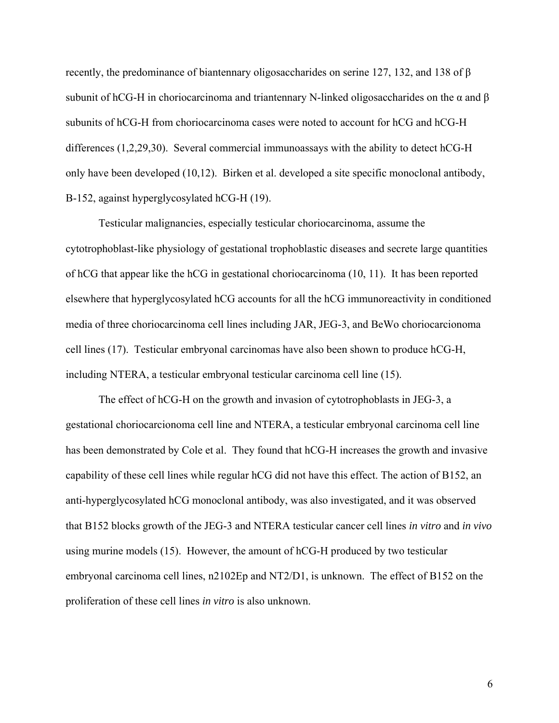recently, the predominance of biantennary oligosaccharides on serine 127, 132, and 138 of  $\beta$ subunit of hCG-H in choriocarcinoma and triantennary N-linked oligosaccharides on the  $\alpha$  and  $\beta$ subunits of hCG-H from choriocarcinoma cases were noted to account for hCG and hCG-H differences (1,2,29,30). Several commercial immunoassays with the ability to detect hCG-H only have been developed (10,12). Birken et al. developed a site specific monoclonal antibody, B-152, against hyperglycosylated hCG-H (19).

Testicular malignancies, especially testicular choriocarcinoma, assume the cytotrophoblast-like physiology of gestational trophoblastic diseases and secrete large quantities of hCG that appear like the hCG in gestational choriocarcinoma (10, 11). It has been reported elsewhere that hyperglycosylated hCG accounts for all the hCG immunoreactivity in conditioned media of three choriocarcinoma cell lines including JAR, JEG-3, and BeWo choriocarcionoma cell lines (17). Testicular embryonal carcinomas have also been shown to produce hCG-H, including NTERA, a testicular embryonal testicular carcinoma cell line (15).

 The effect of hCG-H on the growth and invasion of cytotrophoblasts in JEG-3, a gestational choriocarcionoma cell line and NTERA, a testicular embryonal carcinoma cell line has been demonstrated by Cole et al. They found that hCG-H increases the growth and invasive capability of these cell lines while regular hCG did not have this effect. The action of B152, an anti-hyperglycosylated hCG monoclonal antibody, was also investigated, and it was observed that B152 blocks growth of the JEG-3 and NTERA testicular cancer cell lines *in vitro* and *in vivo* using murine models (15). However, the amount of hCG-H produced by two testicular embryonal carcinoma cell lines, n2102Ep and NT2/D1, is unknown. The effect of B152 on the proliferation of these cell lines *in vitro* is also unknown.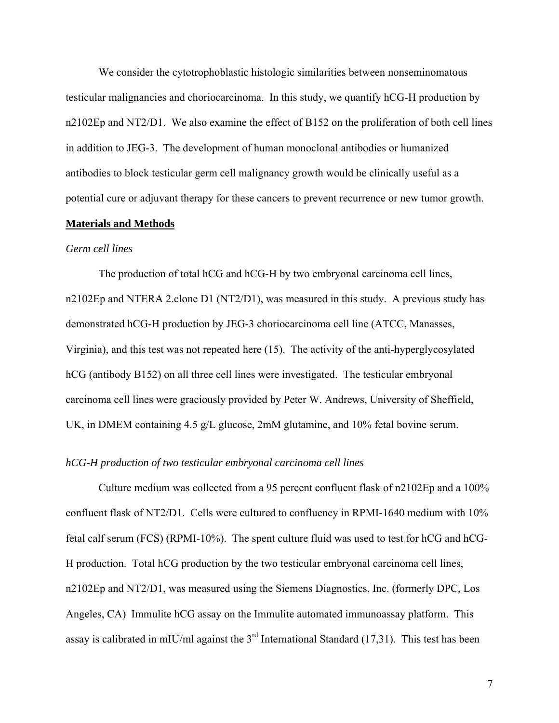We consider the cytotrophoblastic histologic similarities between nonseminomatous testicular malignancies and choriocarcinoma. In this study, we quantify hCG-H production by n2102Ep and NT2/D1. We also examine the effect of B152 on the proliferation of both cell lines in addition to JEG-3. The development of human monoclonal antibodies or humanized antibodies to block testicular germ cell malignancy growth would be clinically useful as a potential cure or adjuvant therapy for these cancers to prevent recurrence or new tumor growth.

#### **Materials and Methods**

#### *Germ cell lines*

 The production of total hCG and hCG-H by two embryonal carcinoma cell lines, n2102Ep and NTERA 2.clone D1 (NT2/D1), was measured in this study. A previous study has demonstrated hCG-H production by JEG-3 choriocarcinoma cell line (ATCC, Manasses, Virginia), and this test was not repeated here (15). The activity of the anti-hyperglycosylated hCG (antibody B152) on all three cell lines were investigated. The testicular embryonal carcinoma cell lines were graciously provided by Peter W. Andrews, University of Sheffield, UK, in DMEM containing 4.5 g/L glucose, 2mM glutamine, and 10% fetal bovine serum.

#### *hCG-H production of two testicular embryonal carcinoma cell lines*

Culture medium was collected from a 95 percent confluent flask of n2102Ep and a 100% confluent flask of NT2/D1. Cells were cultured to confluency in RPMI-1640 medium with 10% fetal calf serum (FCS) (RPMI-10%). The spent culture fluid was used to test for hCG and hCG-H production. Total hCG production by the two testicular embryonal carcinoma cell lines, n2102Ep and NT2/D1, was measured using the Siemens Diagnostics, Inc. (formerly DPC, Los Angeles, CA) Immulite hCG assay on the Immulite automated immunoassay platform. This assay is calibrated in mIU/ml against the  $3<sup>rd</sup>$  International Standard (17,31). This test has been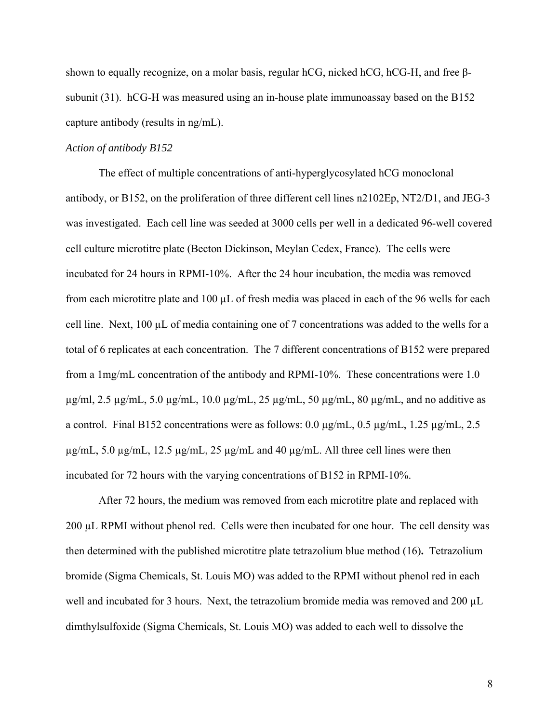shown to equally recognize, on a molar basis, regular hCG, nicked hCG, hCG-H, and free βsubunit (31). hCG-H was measured using an in-house plate immunoassay based on the B152 capture antibody (results in ng/mL).

#### *Action of antibody B152*

The effect of multiple concentrations of anti-hyperglycosylated hCG monoclonal antibody, or B152, on the proliferation of three different cell lines n2102Ep, NT2/D1, and JEG-3 was investigated. Each cell line was seeded at 3000 cells per well in a dedicated 96-well covered cell culture microtitre plate (Becton Dickinson, Meylan Cedex, France). The cells were incubated for 24 hours in RPMI-10%. After the 24 hour incubation, the media was removed from each microtitre plate and 100 µL of fresh media was placed in each of the 96 wells for each cell line. Next,  $100 \mu L$  of media containing one of 7 concentrations was added to the wells for a total of 6 replicates at each concentration. The 7 different concentrations of B152 were prepared from a 1mg/mL concentration of the antibody and RPMI-10%. These concentrations were 1.0  $\mu$ g/ml, 2.5  $\mu$ g/mL, 5.0  $\mu$ g/mL, 10.0  $\mu$ g/mL, 25  $\mu$ g/mL, 50  $\mu$ g/mL, 80  $\mu$ g/mL, and no additive as a control. Final B152 concentrations were as follows: 0.0 µg/mL, 0.5 µg/mL, 1.25 µg/mL, 2.5  $\mu$ g/mL, 5.0  $\mu$ g/mL, 12.5  $\mu$ g/mL, 25  $\mu$ g/mL and 40  $\mu$ g/mL. All three cell lines were then incubated for 72 hours with the varying concentrations of B152 in RPMI-10%.

After 72 hours, the medium was removed from each microtitre plate and replaced with 200 µL RPMI without phenol red. Cells were then incubated for one hour. The cell density was then determined with the published microtitre plate tetrazolium blue method (16)**.** Tetrazolium bromide (Sigma Chemicals, St. Louis MO) was added to the RPMI without phenol red in each well and incubated for 3 hours. Next, the tetrazolium bromide media was removed and 200 µL dimthylsulfoxide (Sigma Chemicals, St. Louis MO) was added to each well to dissolve the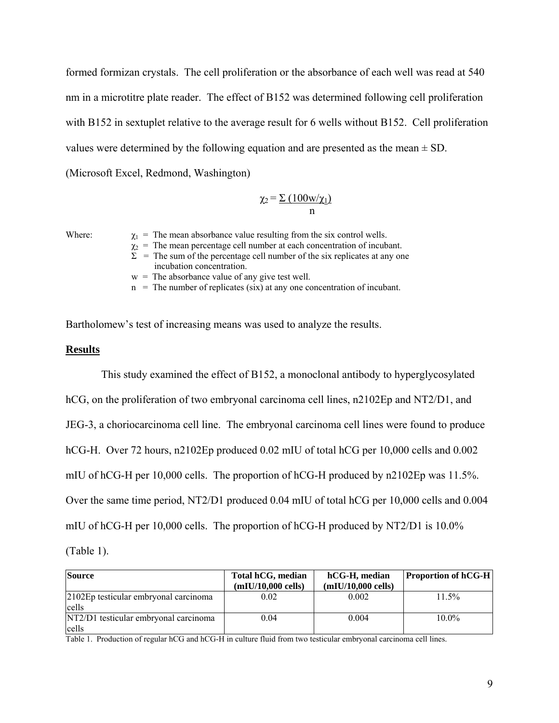formed formizan crystals. The cell proliferation or the absorbance of each well was read at 540 nm in a microtitre plate reader. The effect of B152 was determined following cell proliferation with B152 in sextuplet relative to the average result for 6 wells without B152. Cell proliferation values were determined by the following equation and are presented as the mean  $\pm$  SD. (Microsoft Excel, Redmond, Washington)

$$
\chi_2 = \frac{\sum (100w/\chi_1)}{n}
$$

Where:  $\chi_1$  = The mean absorbance value resulting from the six control wells.

 $\chi_2$  = The mean percentage cell number at each concentration of incubant.

 $\Sigma$  = The sum of the percentage cell number of the six replicates at any one incubation concentration.

 $w =$ The absorbance value of any give test well.

 $n =$ The number of replicates (six) at any one concentration of incubant.

Bartholomew's test of increasing means was used to analyze the results.

#### **Results**

 This study examined the effect of B152, a monoclonal antibody to hyperglycosylated hCG, on the proliferation of two embryonal carcinoma cell lines, n2102Ep and NT2/D1, and JEG-3, a choriocarcinoma cell line. The embryonal carcinoma cell lines were found to produce hCG-H. Over 72 hours, n2102Ep produced 0.02 mIU of total hCG per 10,000 cells and 0.002 mIU of hCG-H per 10,000 cells. The proportion of hCG-H produced by n2102Ep was 11.5%. Over the same time period, NT2/D1 produced 0.04 mIU of total hCG per 10,000 cells and 0.004 mIU of hCG-H per 10,000 cells. The proportion of hCG-H produced by NT2/D1 is 10.0%

(Table 1).

| <b>Source</b>                         | Total hCG, median    | hCG-H, median        | <b>Proportion of hCG-H</b> |  |
|---------------------------------------|----------------------|----------------------|----------------------------|--|
|                                       | $(mIU/10,000$ cells) | $(mIU/10,000$ cells) |                            |  |
| 2102Ep testicular embryonal carcinoma | 0.02                 | 0.002                | 11.5%                      |  |
| cells                                 |                      |                      |                            |  |
| NT2/D1 testicular embryonal carcinoma | 0.04                 | 0.004                | $10.0\%$                   |  |
| cells                                 |                      |                      |                            |  |

Table 1. Production of regular hCG and hCG-H in culture fluid from two testicular embryonal carcinoma cell lines.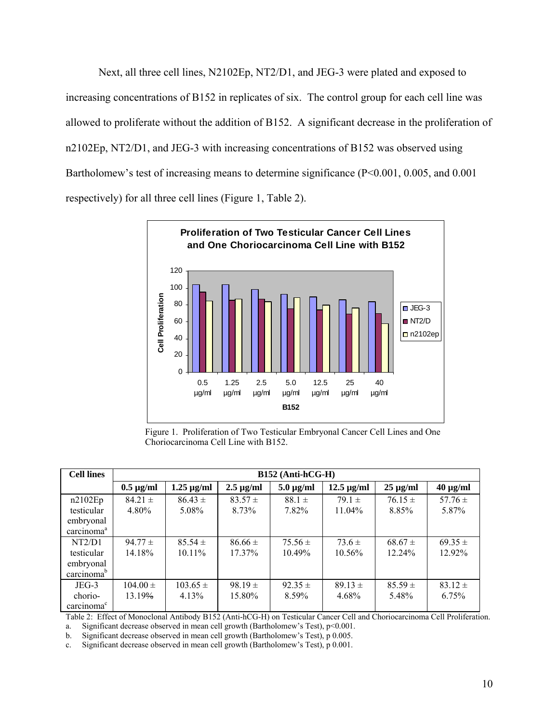Next, all three cell lines, N2102Ep, NT2/D1, and JEG-3 were plated and exposed to increasing concentrations of B152 in replicates of six. The control group for each cell line was allowed to proliferate without the addition of B152. A significant decrease in the proliferation of n2102Ep, NT2/D1, and JEG-3 with increasing concentrations of B152 was observed using Bartholomew's test of increasing means to determine significance (P<0.001, 0.005, and 0.001 respectively) for all three cell lines (Figure 1, Table 2).



Figure 1. Proliferation of Two Testicular Embryonal Cancer Cell Lines and One Choriocarcinoma Cell Line with B152.

| <b>Cell lines</b>      | $B152$ (Anti-hCG-H) |                 |                |                |                 |               |               |  |
|------------------------|---------------------|-----------------|----------------|----------------|-----------------|---------------|---------------|--|
|                        | $0.5 \mu g/ml$      | $1.25 \mu g/ml$ | $2.5 \mu g/ml$ | $5.0 \mu g/ml$ | $12.5 \mu g/ml$ | $25 \mu g/ml$ | $40 \mu g/ml$ |  |
| n2102Ep                | $84.21 \pm$         | $86.43 \pm$     | $83.57 \pm$    | $88.1 \pm$     | $791 \pm$       | $76.15 \pm$   | 57.76 $\pm$   |  |
| testicular             | 4.80%               | 5.08%           | 8.73%          | 7.82%          | $11.04\%$       | 8.85%         | 5.87%         |  |
| embryonal              |                     |                 |                |                |                 |               |               |  |
| carcinoma <sup>a</sup> |                     |                 |                |                |                 |               |               |  |
| NT2/D1                 | $94.77 \pm$         | $85.54 \pm$     | $86.66 \pm$    | $75.56 \pm$    | $73.6 \pm$      | $68.67 \pm$   | $69.35 \pm$   |  |
| testicular             | 14.18%              | $10.11\%$       | $17.37\%$      | 10.49%         | $10.56\%$       | 12.24%        | 12.92%        |  |
| embryonal              |                     |                 |                |                |                 |               |               |  |
| carcinoma <sup>b</sup> |                     |                 |                |                |                 |               |               |  |
| $JEG-3$                | $104.00 \pm$        | $103.65 \pm$    | $98.19 \pm$    | $92.35 \pm$    | $89.13 \pm$     | $85.59 \pm$   | $83.12 \pm$   |  |
| chorio-                | 13.19%              | 4.13%           | 15.80%         | 8.59%          | 4.68%           | 5.48%         | 6.75%         |  |
| carcinoma <sup>c</sup> |                     |                 |                |                |                 |               |               |  |

Table 2: Effect of Monoclonal Antibody B152 (Anti-hCG-H) on Testicular Cancer Cell and Choriocarcinoma Cell Proliferation. a. Significant decrease observed in mean cell growth (Bartholomew's Test), p<0.001.

b. Significant decrease observed in mean cell growth (Bartholomew's Test), p 0.005.

c. Significant decrease observed in mean cell growth (Bartholomew's Test), p 0.001.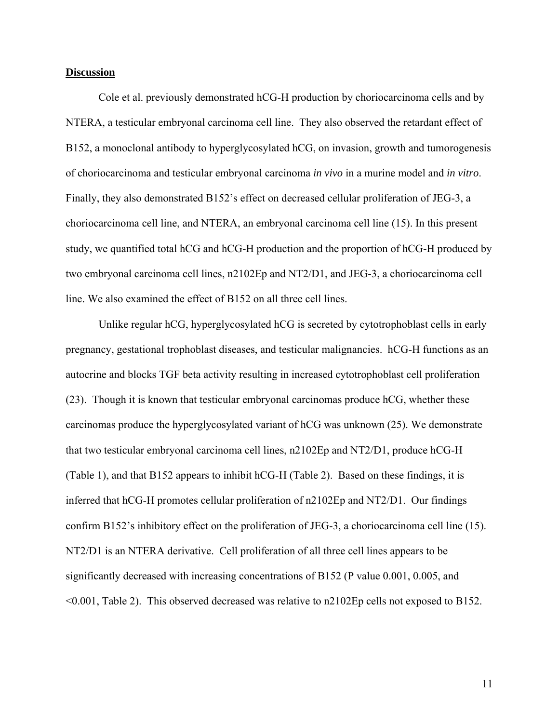#### **Discussion**

Cole et al. previously demonstrated hCG-H production by choriocarcinoma cells and by NTERA, a testicular embryonal carcinoma cell line. They also observed the retardant effect of B152, a monoclonal antibody to hyperglycosylated hCG, on invasion, growth and tumorogenesis of choriocarcinoma and testicular embryonal carcinoma *in vivo* in a murine model and *in vitro*. Finally, they also demonstrated B152's effect on decreased cellular proliferation of JEG-3, a choriocarcinoma cell line, and NTERA, an embryonal carcinoma cell line (15). In this present study, we quantified total hCG and hCG-H production and the proportion of hCG-H produced by two embryonal carcinoma cell lines, n2102Ep and NT2/D1, and JEG-3, a choriocarcinoma cell line. We also examined the effect of B152 on all three cell lines.

Unlike regular hCG, hyperglycosylated hCG is secreted by cytotrophoblast cells in early pregnancy, gestational trophoblast diseases, and testicular malignancies. hCG-H functions as an autocrine and blocks TGF beta activity resulting in increased cytotrophoblast cell proliferation (23). Though it is known that testicular embryonal carcinomas produce hCG, whether these carcinomas produce the hyperglycosylated variant of hCG was unknown (25). We demonstrate that two testicular embryonal carcinoma cell lines, n2102Ep and NT2/D1, produce hCG-H (Table 1), and that B152 appears to inhibit hCG-H (Table 2). Based on these findings, it is inferred that hCG-H promotes cellular proliferation of n2102Ep and NT2/D1. Our findings confirm B152's inhibitory effect on the proliferation of JEG-3, a choriocarcinoma cell line (15). NT2/D1 is an NTERA derivative. Cell proliferation of all three cell lines appears to be significantly decreased with increasing concentrations of B152 (P value 0.001, 0.005, and <0.001, Table 2). This observed decreased was relative to n2102Ep cells not exposed to B152.

11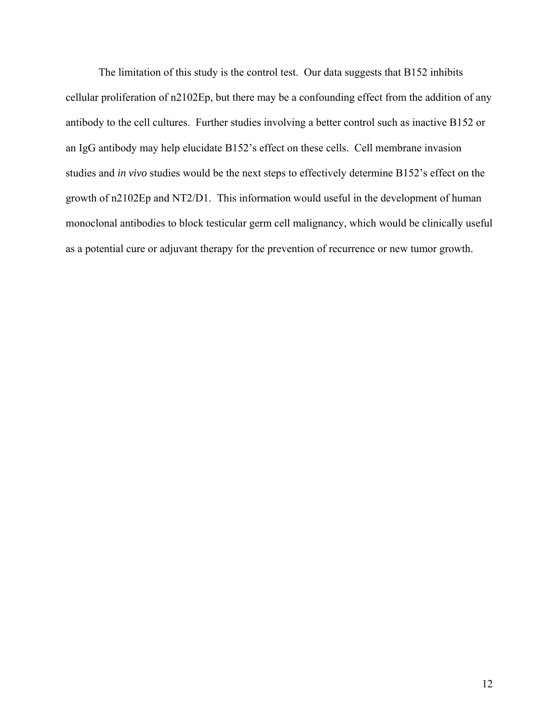The limitation of this study is the control test. Our data suggests that B152 inhibits cellular proliferation of n2102Ep, but there may be a confounding effect from the addition of any antibody to the cell cultures. Further studies involving a better control such as inactive B152 or an IgG antibody may help elucidate B152's effect on these cells. Cell membrane invasion studies and *in vivo* studies would be the next steps to effectively determine B152's effect on the growth of n2102Ep and NT2/D1. This information would useful in the development of human monoclonal antibodies to block testicular germ cell malignancy, which would be clinically useful as a potential cure or adjuvant therapy for the prevention of recurrence or new tumor growth.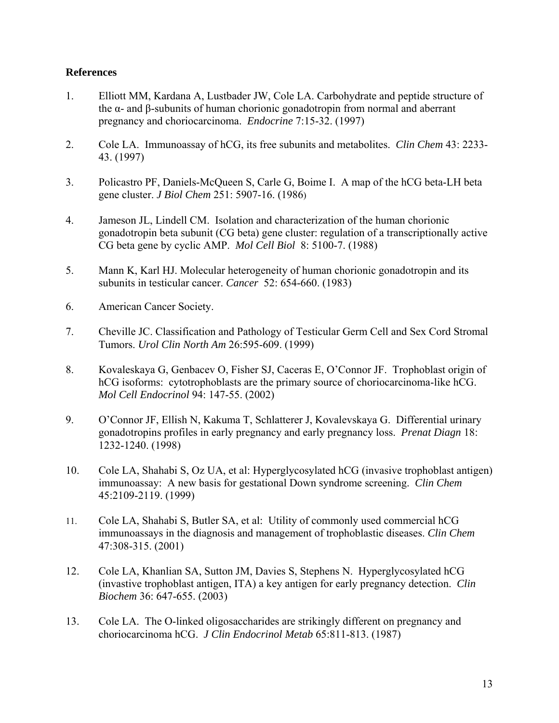## **References**

- 1. Elliott MM, Kardana A, Lustbader JW, Cole LA. Carbohydrate and peptide structure of the α- and β-subunits of human chorionic gonadotropin from normal and aberrant pregnancy and choriocarcinoma. *Endocrine* 7:15-32. (1997)
- 2. Cole LA. Immunoassay of hCG, its free subunits and metabolites. *Clin Chem* 43: 2233- 43. (1997)
- 3. Policastro PF, Daniels-McQueen S, Carle G, Boime I. A map of the hCG beta-LH beta gene cluster. *J Biol Chem* 251: 5907-16. (1986)
- 4. Jameson JL, Lindell CM. Isolation and characterization of the human chorionic gonadotropin beta subunit (CG beta) gene cluster: regulation of a transcriptionally active CG beta gene by cyclic AMP. *Mol Cell Biol* 8: 5100-7. (1988)
- 5. Mann K, Karl HJ. Molecular heterogeneity of human chorionic gonadotropin and its subunits in testicular cancer. *Cancer* 52: 654-660. (1983)
- 6. American Cancer Society.
- 7. Cheville JC. Classification and Pathology of Testicular Germ Cell and Sex Cord Stromal Tumors. *Urol Clin North Am* 26:595-609. (1999)
- 8. Kovaleskaya G, Genbacev O, Fisher SJ, Caceras E, O'Connor JF. Trophoblast origin of hCG isoforms: cytotrophoblasts are the primary source of choriocarcinoma-like hCG. *Mol Cell Endocrinol* 94: 147-55. (2002)
- 9. O'Connor JF, Ellish N, Kakuma T, Schlatterer J, Kovalevskaya G. Differential urinary gonadotropins profiles in early pregnancy and early pregnancy loss. *Prenat Diagn* 18: 1232-1240. (1998)
- 10. Cole LA, Shahabi S, Oz UA, et al: Hyperglycosylated hCG (invasive trophoblast antigen) immunoassay: A new basis for gestational Down syndrome screening. *Clin Chem* 45:2109-2119. (1999)
- 11. Cole LA, Shahabi S, Butler SA, et al: Utility of commonly used commercial hCG immunoassays in the diagnosis and management of trophoblastic diseases. *Clin Chem* 47:308-315. (2001)
- 12. Cole LA, Khanlian SA, Sutton JM, Davies S, Stephens N. Hyperglycosylated hCG (invastive trophoblast antigen, ITA) a key antigen for early pregnancy detection. *Clin Biochem* 36: 647-655. (2003)
- 13. Cole LA. The O-linked oligosaccharides are strikingly different on pregnancy and choriocarcinoma hCG. *J Clin Endocrinol Metab* 65:811-813. (1987)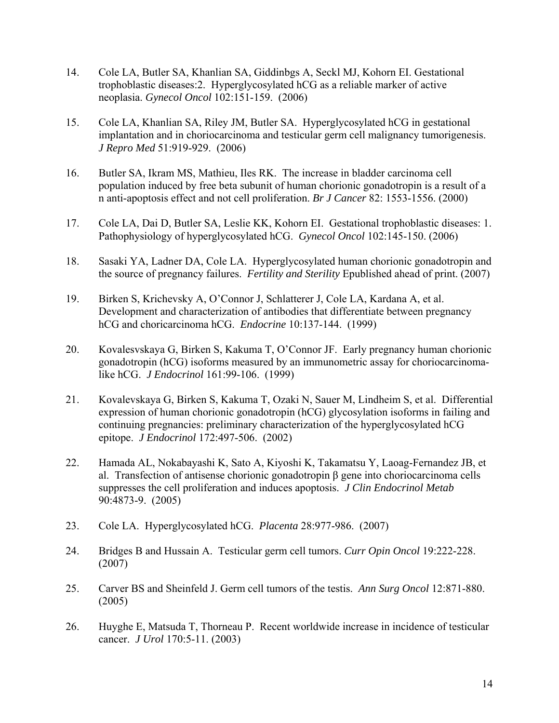- 14. Cole LA, Butler SA, Khanlian SA, Giddinbgs A, Seckl MJ, Kohorn EI. Gestational trophoblastic diseases:2. Hyperglycosylated hCG as a reliable marker of active neoplasia. *Gynecol Oncol* 102:151-159. (2006)
- 15. Cole LA, Khanlian SA, Riley JM, Butler SA. Hyperglycosylated hCG in gestational implantation and in choriocarcinoma and testicular germ cell malignancy tumorigenesis. *J Repro Med* 51:919-929. (2006)
- 16. Butler SA, Ikram MS, Mathieu, Iles RK. The increase in bladder carcinoma cell population induced by free beta subunit of human chorionic gonadotropin is a result of a n anti-apoptosis effect and not cell proliferation. *Br J Cancer* 82: 1553-1556. (2000)
- 17. Cole LA, Dai D, Butler SA, Leslie KK, Kohorn EI. Gestational trophoblastic diseases: 1. Pathophysiology of hyperglycosylated hCG. *Gynecol Oncol* 102:145-150. (2006)
- 18. Sasaki YA, Ladner DA, Cole LA. Hyperglycosylated human chorionic gonadotropin and the source of pregnancy failures. *Fertility and Sterility* Epublished ahead of print. (2007)
- 19. Birken S, Krichevsky A, O'Connor J, Schlatterer J, Cole LA, Kardana A, et al. Development and characterization of antibodies that differentiate between pregnancy hCG and choricarcinoma hCG. *Endocrine* 10:137-144. (1999)
- 20. Kovalesvskaya G, Birken S, Kakuma T, O'Connor JF. Early pregnancy human chorionic gonadotropin (hCG) isoforms measured by an immunometric assay for choriocarcinomalike hCG. *J Endocrinol* 161:99-106. (1999)
- 21. Kovalevskaya G, Birken S, Kakuma T, Ozaki N, Sauer M, Lindheim S, et al. Differential expression of human chorionic gonadotropin (hCG) glycosylation isoforms in failing and continuing pregnancies: preliminary characterization of the hyperglycosylated hCG epitope. *J Endocrinol* 172:497-506. (2002)
- 22. Hamada AL, Nokabayashi K, Sato A, Kiyoshi K, Takamatsu Y, Laoag-Fernandez JB, et al. Transfection of antisense chorionic gonadotropin β gene into choriocarcinoma cells suppresses the cell proliferation and induces apoptosis. *J Clin Endocrinol Metab* 90:4873-9. (2005)
- 23. Cole LA. Hyperglycosylated hCG. *Placenta* 28:977-986. (2007)
- 24. Bridges B and Hussain A. Testicular germ cell tumors. *Curr Opin Oncol* 19:222-228. (2007)
- 25. Carver BS and Sheinfeld J. Germ cell tumors of the testis. *Ann Surg Oncol* 12:871-880. (2005)
- 26. Huyghe E, Matsuda T, Thorneau P. Recent worldwide increase in incidence of testicular cancer. *J Urol* 170:5-11. (2003)